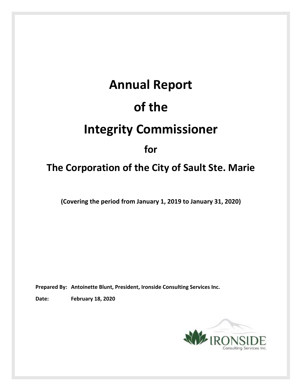# **Annual Report of the Integrity Commissioner for**

## **The Corporation of the City of Sault Ste. Marie**

**(Covering the period from January 1, 2019 to January 31, 2020)**

**Prepared By: Antoinette Blunt, President, Ironside Consulting Services Inc.**

**Date: February 18, 2020**

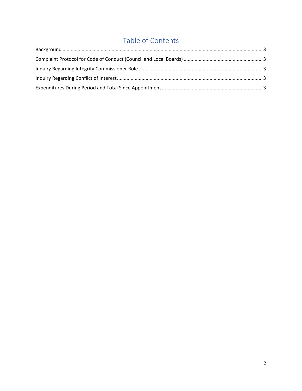### Table of Contents